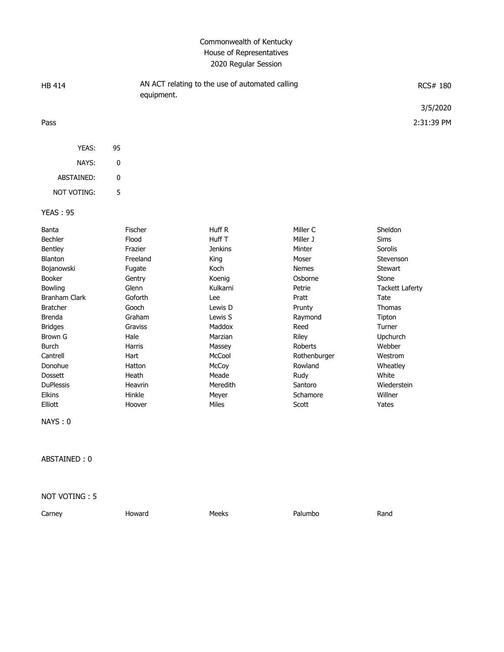## Commonwealth of Kentucky House of Representatives 2020 Regular Session

| <b>HB 414</b>        | equipment. | AN ACT relating to the use of automated calling |              |                        |
|----------------------|------------|-------------------------------------------------|--------------|------------------------|
|                      |            |                                                 |              | 3/5/2020               |
| Pass                 |            |                                                 |              | 2:31:39 PM             |
| YEAS:                | 95         |                                                 |              |                        |
| NAYS:                | 0          |                                                 |              |                        |
| ABSTAINED:           | 0          |                                                 |              |                        |
| <b>NOT VOTING:</b>   | 5          |                                                 |              |                        |
| <b>YEAS: 95</b>      |            |                                                 |              |                        |
| Banta                | Fischer    | Huff R                                          | Miller C     | Sheldon                |
| <b>Bechler</b>       | Flood      | Huff T                                          | Miller J     | <b>Sims</b>            |
| Bentley              | Frazier    | <b>Jenkins</b>                                  | Minter       | Sorolis                |
| Blanton              | Freeland   | King                                            | Moser        | Stevenson              |
| Bojanowski           | Fugate     | Koch                                            | <b>Nemes</b> | <b>Stewart</b>         |
| <b>Booker</b>        | Gentry     | Koenig                                          | Osborne      | Stone                  |
| Bowling              | Glenn      | Kulkarni                                        | Petrie       | <b>Tackett Laferty</b> |
| <b>Branham Clark</b> | Goforth    | Lee                                             | Pratt        | Tate                   |
| <b>Bratcher</b>      | Gooch      | Lewis D                                         | Prunty       | <b>Thomas</b>          |
| <b>Brenda</b>        | Graham     | Lewis S                                         | Raymond      | Tipton                 |
| <b>Bridges</b>       | Graviss    | Maddox                                          | Reed         | Turner                 |
| Brown G              | Hale       | Marzian                                         | Riley        | Upchurch               |

ABSTAINED : 0

NAYS : 0

## NOT VOTING : 5

| Carney | Howard | Meeks | Palumbo | Rand |
|--------|--------|-------|---------|------|

Burch Nassey Roberts Massey Roberts Webber Burch Messey Roberts Webber Cantrell **Hart** Hart McCool Rothenburger Westrom Donohue Hatton McCoy Rowland Wheatley Dossett Heath Meade Rudy White DuPlessis Heavrin Meredith Santoro Wiederstein Elkins Hinkle Meyer Schamore Willner Elliott Hoover Miles Scott Yates